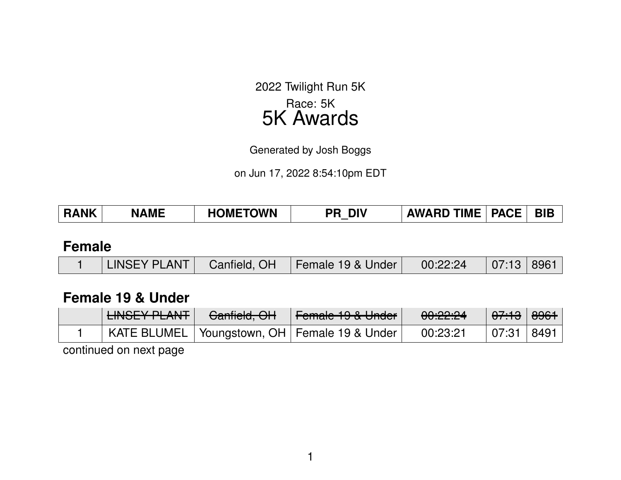2022 Twilight Run 5K Race: 5K 5K Awards

Generated by Josh Boggs

on Jun 17, 2022 8:54:10pm EDT

| <b>RANK</b> | <b>NAME</b> | <b>HOMETOWN</b> | PR DIV | <b>AWARD TIME   PACE  </b> | <b>BIB</b> |
|-------------|-------------|-----------------|--------|----------------------------|------------|
|             |             |                 |        |                            |            |

#### **Female**

|  |  |  | LINSEY PLANT   Canfield, OH   Female 19 & Under   00:22:24   07:13   8961 |  |  |  |
|--|--|--|---------------------------------------------------------------------------|--|--|--|
|--|--|--|---------------------------------------------------------------------------|--|--|--|

#### **Female 19 & Under**

| LINIOEV DI ANT<br>EINOLTT LAINT L | $C_{\alpha\alpha}$ fiald $\bigcap$<br><del>Uanneld, UH</del> | L<br><u>I Giliald 19 &amp; Oliuci I</u>          | 00:22:24 | <del>07:13</del>   <del>8961</del> |      |
|-----------------------------------|--------------------------------------------------------------|--------------------------------------------------|----------|------------------------------------|------|
|                                   |                                                              | KATE BLUMEL   Youngstown, OH   Female 19 & Under | 00:23:21 | 07:31                              | 8491 |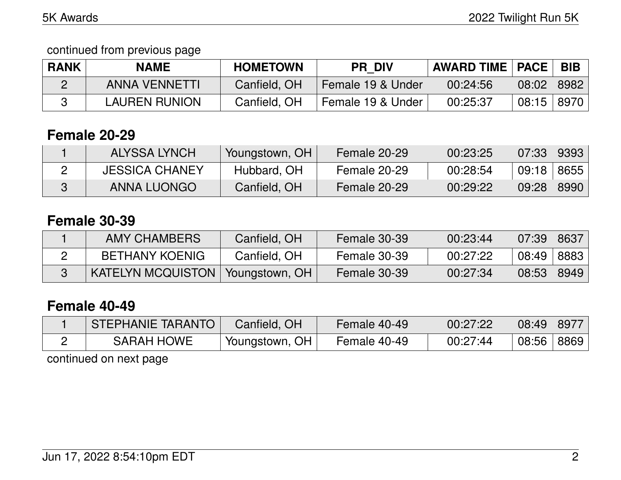continued from previous page

| <b>RANK</b> | NAME                 | <b>HOMETOWN</b> | <b>PR DIV</b>     | <b>AWARD TIME   PACE  </b> |       | <b>BIB</b> |
|-------------|----------------------|-----------------|-------------------|----------------------------|-------|------------|
|             | <b>ANNA VENNETTI</b> | Canfield, OH    | Female 19 & Under | 00:24:56                   | 08:02 | 8982       |
|             | LAUREN RUNION        | Canfield, OH    | Female 19 & Under | 00:25:37                   | 08:15 | 8970       |

#### **Female 20-29**

| ALYSSA LYNCH          | Youngstown, OH | <b>Female 20-29</b> | 00:23:25 | 07:33 | 9393 |
|-----------------------|----------------|---------------------|----------|-------|------|
| <b>JESSICA CHANEY</b> | Hubbard, OH    | Female 20-29        | 00:28:54 | 09:18 | 8655 |
| ANNA LUONGO           | Canfield, OH   | Female 20-29        | 00:29:22 | 09:28 | 8990 |

# **Female 30-39**

| AMY CHAMBERS             | Canfield, OH   | Female 30-39 | 00:23:44 | 07:39 | 8637 |
|--------------------------|----------------|--------------|----------|-------|------|
| <b>BETHANY KOENIG</b>    | Canfield, OH   | Female 30-39 | 00:27:22 | 08:49 | 8883 |
| <b>KATELYN MCQUISTON</b> | Youngstown, OH | Female 30-39 | 00:27:34 | 08:53 | 8949 |

### **Female 40-49**

| STEPHANIE TARANTO | Canfield, OH   | Female 40-49 | 00:27:22 | 08:49 | 8977 |
|-------------------|----------------|--------------|----------|-------|------|
| <b>SARAH HOWE</b> | Youngstown, OH | Female 40-49 | 00:27:44 | 08:56 | 8869 |
|                   |                |              |          |       |      |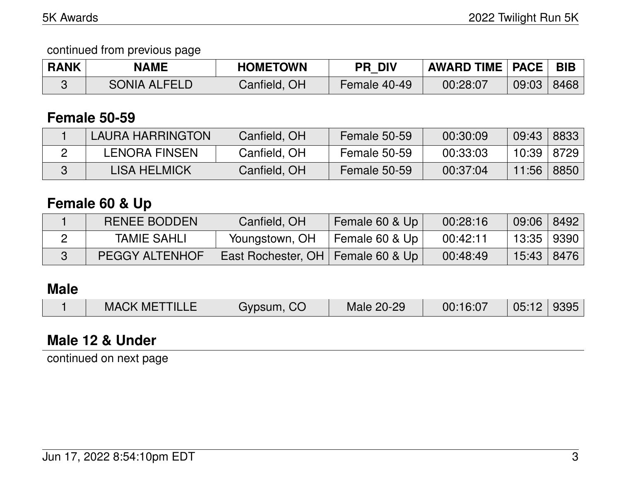#### continued from previous page

| <b>RANK</b> | <b>NAME</b>  | <b>HOMETOWN</b> | <b>PR DIV</b> | <b>AWARD TIME   PACE  </b> |       | <b>BIB</b> |
|-------------|--------------|-----------------|---------------|----------------------------|-------|------------|
|             | SONIA ALFELD | Canfield, OH    | Female 40-49  | 00:28:07                   | 09:03 | 8468       |

#### **Female 50-59**

| LAURA HARRINGTON     | Canfield, OH | Female 50-59 | 00:30:09 | 09:43 | 8833 |
|----------------------|--------------|--------------|----------|-------|------|
| <b>LENORA FINSEN</b> | Canfield, OH | Female 50-59 | 00:33:03 | 10:39 | 8729 |
| LISA HELMICK         | Canfield, OH | Female 50-59 | 00:37:04 | 11:56 | 8850 |

### **Female 60 & Up**

| RENEE BODDEN          | Canfield, OH                        | Female 60 & Up | 00:28:16 | 09:06        | 8492 |
|-----------------------|-------------------------------------|----------------|----------|--------------|------|
| <b>TAMIE SAHLI</b>    | Youngstown, OH                      | Female 60 & Up | 00:42:11 | 13:35   9390 |      |
| <b>PEGGY ALTENHOF</b> | East Rochester, OH   Female 60 & Up |                | 00:48:49 | $15:43$ 8476 |      |

# **Male**

|  | <b>MACK METTILLE</b> | Gypsum, CO | Male 20-29 | 00:16:07 | 05:12 9395 |  |
|--|----------------------|------------|------------|----------|------------|--|
|--|----------------------|------------|------------|----------|------------|--|

### **Male 12 & Under**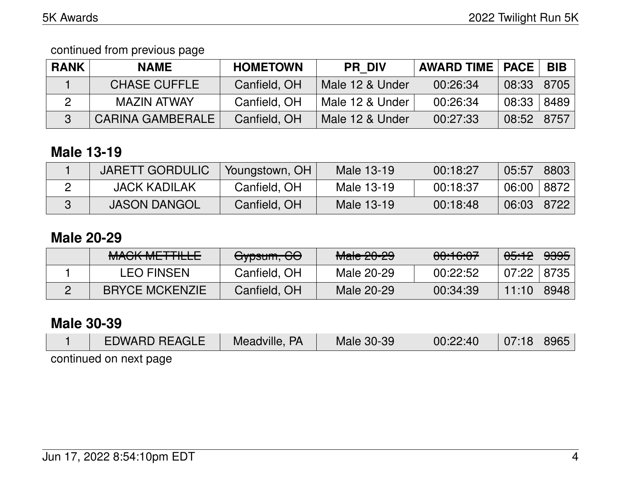continued from previous page

| <b>RANK</b> | <b>NAME</b>             | <b>HOMETOWN</b> | <b>PR DIV</b>   | <b>AWARD TIME   PACE</b> |       | <b>BIB</b> |
|-------------|-------------------------|-----------------|-----------------|--------------------------|-------|------------|
|             | <b>CHASE CUFFLE</b>     | Canfield, OH    | Male 12 & Under | 00:26:34                 | 08:33 | 8705       |
|             | MAZIN ATWAY             | Canfield, OH    | Male 12 & Under | 00:26:34                 | 08:33 | 8489       |
|             | <b>CARINA GAMBERALE</b> | Canfield, OH    | Male 12 & Under | 00:27:33                 | 08:52 | 8757       |

## **Male 13-19**

| <b>JARETT GORDULIC</b> | Youngstown, OH | Male 13-19 | 00:18:27 | 05:57 | 8803 |
|------------------------|----------------|------------|----------|-------|------|
| <b>JACK KADILAK</b>    | Canfield, OH   | Male 13-19 | 00:18:37 | 06:00 | 8872 |
| <b>JASON DANGOL</b>    | Canfield, OH   | Male 13-19 | 00:18:48 | 06:03 | 8722 |

#### **Male 20-29**

| <u>MACIZ METTILLE</u><br><b>MAVILIMETTIELE</b> | Gypsum, GO   | <del>Male 20-29</del> | 0.1007<br><del>00.10.07</del> | <del>05:12</del> | <del>9395</del> |
|------------------------------------------------|--------------|-----------------------|-------------------------------|------------------|-----------------|
| <b>LEO FINSEN</b>                              | Canfield, OH | Male 20-29            | 00:22:52                      | 07:22            | 8735            |
| <b>BRYCE MCKENZIE</b>                          | Canfield, OH | Male 20-29            | 00:34:39                      | 11:10            | 8948            |

## **Male 30-39**

| <b>EDWARD REAGLE</b>   | Meadville, PA | Male 30-39 | 00:22:40 | 07:18 8965 |  |
|------------------------|---------------|------------|----------|------------|--|
| continued on next nane |               |            |          |            |  |